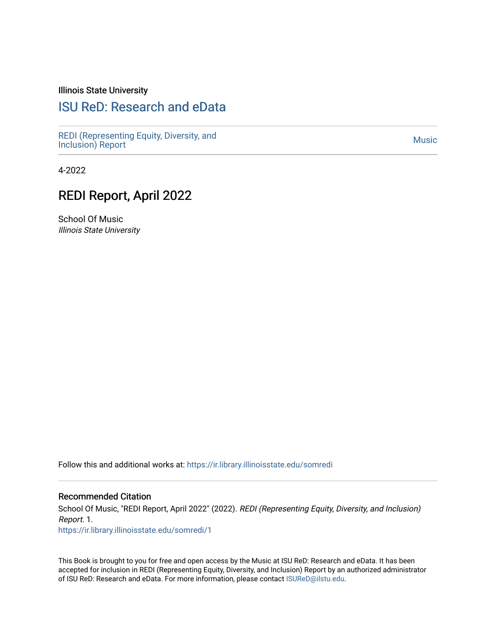#### Illinois State University

#### [ISU ReD: Research and eData](https://ir.library.illinoisstate.edu/)

[REDI \(Representing Equity, Diversity, and](https://ir.library.illinoisstate.edu/somredi) REDI (Representing Equity, Diversity, and<br>[Inclusion\) Report](https://ir.library.illinoisstate.edu/somredi) Music

4-2022

## REDI Report, April 2022

School Of Music Illinois State University

Follow this and additional works at: [https://ir.library.illinoisstate.edu/somredi](https://ir.library.illinoisstate.edu/somredi?utm_source=ir.library.illinoisstate.edu%2Fsomredi%2F1&utm_medium=PDF&utm_campaign=PDFCoverPages) 

#### Recommended Citation

School Of Music, "REDI Report, April 2022" (2022). REDI (Representing Equity, Diversity, and Inclusion) Report. 1. [https://ir.library.illinoisstate.edu/somredi/1](https://ir.library.illinoisstate.edu/somredi/1?utm_source=ir.library.illinoisstate.edu%2Fsomredi%2F1&utm_medium=PDF&utm_campaign=PDFCoverPages) 

This Book is brought to you for free and open access by the Music at ISU ReD: Research and eData. It has been

accepted for inclusion in REDI (Representing Equity, Diversity, and Inclusion) Report by an authorized administrator of ISU ReD: Research and eData. For more information, please contact [ISUReD@ilstu.edu](mailto:ISUReD@ilstu.edu).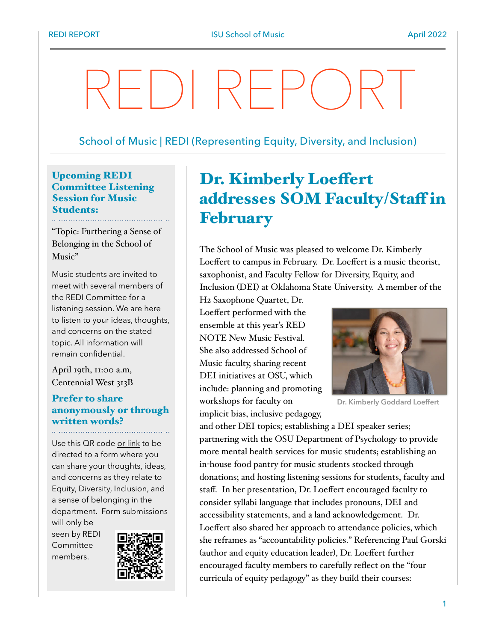# REDI REPORT

#### School of Music | REDI (Representing Equity, Diversity, and Inclusion)

#### Upcoming REDI Committee Listening Session for Music Students:

"Topic: Furthering a Sense of Belonging in the School of Music"

Music students are invited to meet with several members of the REDI Committee for a listening session. We are here to listen to your ideas, thoughts, and concerns on the stated topic. All information will remain confidential.

April 19th, 11:00 a.m, Centennial West 313B

#### Prefer to share [anonymously or through](https://illinoisstate.az1.qualtrics.com/jfe/form/SV_9LDA93qASZ27ZPg)  written words?

Use this QR code [or link](https://illinoisstate.az1.qualtrics.com/jfe/form/SV_9LDA93qASZ27ZPg) to be directed to a form where you can share your thoughts, ideas, and concerns as they relate to Equity, Diversity, Inclusion, and a sense of belonging in the department. Form submissions

will only be seen by REDI Committee members.



# Dr. Kimberly Loeffert addresses SOM Faculty/Staff in February

The School of Music was pleased to welcome Dr. Kimberly Loeffert to campus in February. Dr. Loeffert is a music theorist, saxophonist, and Faculty Fellow for Diversity, Equity, and Inclusion (DEI) at Oklahoma State University. A member of the

H2 Saxophone Quartet, Dr. Loeffert performed with the ensemble at this year's RED NOTE New Music Festival. She also addressed School of Music faculty, sharing recent DEI initiatives at OSU, which include: planning and promoting workshops for faculty on implicit bias, inclusive pedagogy,



**Dr. Kimberly Goddard Loeffert**

and other DEI topics; establishing a DEI speaker series; partnering with the OSU Department of Psychology to provide more mental health services for music students; establishing an in-house food pantry for music students stocked through donations; and hosting listening sessions for students, faculty and staff. In her presentation, Dr. Loeffert encouraged faculty to consider syllabi language that includes pronouns, DEI and accessibility statements, and a land acknowledgement. Dr. Loeffert also shared her approach to attendance policies, which she reframes as "accountability policies." Referencing Paul Gorski (author and equity education leader), Dr. Loeffert further encouraged faculty members to carefully reflect on the "four curricula of equity pedagogy" as they build their courses: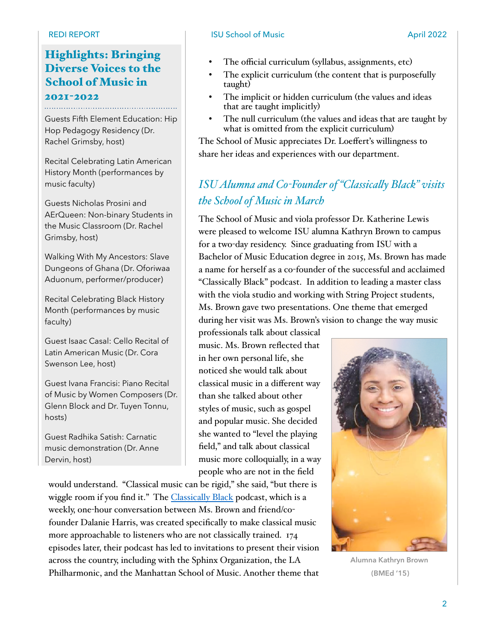# Highlights: Bringing Diverse Voices to the School of Music in

# 2021-2022

Guests Fifth Element Education: Hip Hop Pedagogy Residency (Dr. Rachel Grimsby, host)

Recital Celebrating Latin American History Month (performances by music faculty)

Guests Nicholas Prosini and AErQueen: Non-binary Students in the Music Classroom (Dr. Rachel Grimsby, host)

Walking With My Ancestors: Slave Dungeons of Ghana (Dr. Oforiwaa Aduonum, performer/producer)

Recital Celebrating Black History Month (performances by music faculty)

Guest Isaac Casal: Cello Recital of Latin American Music (Dr. Cora Swenson Lee, host)

Guest Ivana Francisi: Piano Recital of Music by Women Composers (Dr. Glenn Block and Dr. Tuyen Tonnu, hosts)

Guest Radhika Satish: Carnatic music demonstration (Dr. Anne Dervin, host)

would understand. "Classical music can be rigid," she said, "but there is wiggle room if you find it." The [Classically Black](https://www.classicallyblackpodcast.com/) podcast, which is a weekly, one-hour conversation between Ms. Brown and friend/cofounder Dalanie Harris, was created specifically to make classical music more approachable to listeners who are not classically trained. 174 episodes later, their podcast has led to invitations to present their vision across the country, including with the Sphinx Organization, the LA Philharmonic, and the Manhattan School of Music. Another theme that

#### REDI REPORT **ISU School of Music** April 2022

- The official curriculum (syllabus, assignments, etc)
- The explicit curriculum (the content that is purposefully taught)
- The implicit or hidden curriculum (the values and ideas that are taught implicitly)
- The null curriculum (the values and ideas that are taught by what is omitted from the explicit curriculum)

The School of Music appreciates Dr. Loeffert's willingness to share her ideas and experiences with our department.

## *ISU Alumna and Co-Founder of "Classically Black" visits the School of Music in March*

The School of Music and viola professor Dr. Katherine Lewis were pleased to welcome ISU alumna Kathryn Brown to campus for a two-day residency. Since graduating from ISU with a Bachelor of Music Education degree in 2015, Ms. Brown has made a name for herself as a co-founder of the successful and acclaimed "Classically Black" podcast. In addition to leading a master class with the viola studio and working with String Project students, Ms. Brown gave two presentations. One theme that emerged during her visit was Ms. Brown's vision to change the way music

professionals talk about classical music. Ms. Brown reflected that in her own personal life, she noticed she would talk about classical music in a different way than she talked about other styles of music, such as gospel and popular music. She decided she wanted to "level the playing field," and talk about classical music more colloquially, in a way people who are not in the field



**Alumna Kathryn Brown (BMEd '15)**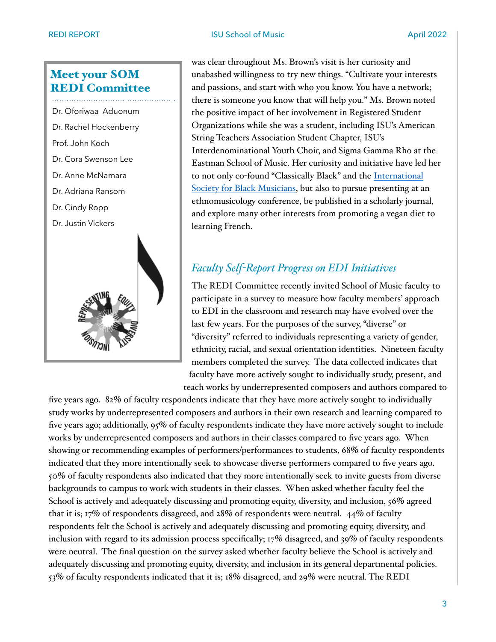#### REDI REPORT **ISU School of Music April 2022**

## Meet your SOM REDI Committee

 Dr. Oforiwaa Aduonum Dr. Rachel Hockenberry Prof. John Koch Dr. Cora Swenson Lee Dr. Anne McNamara Dr. Adriana Ransom Dr. Cindy Ropp Dr. Justin Vickers

was clear throughout Ms. Brown's visit is her curiosity and unabashed willingness to try new things. "Cultivate your interests and passions, and start with who you know. You have a network; there is someone you know that will help you." Ms. Brown noted the positive impact of her involvement in Registered Student Organizations while she was a student, including ISU's American String Teachers Association Student Chapter, ISU's Interdenominational Youth Choir, and Sigma Gamma Rho at the Eastman School of Music. Her curiosity and initiative have led her to not only co-found "Classically Black" and the [International](https://www.isblackmusicians.com/)  [Society for Black Musicians](https://www.isblackmusicians.com/), but also to pursue presenting at an ethnomusicology conference, be published in a scholarly journal, and explore many other interests from promoting a vegan diet to learning French.

#### *Faculty Self-Report Progress on EDI Initiatives*

The REDI Committee recently invited School of Music faculty to participate in a survey to measure how faculty members' approach to EDI in the classroom and research may have evolved over the last few years. For the purposes of the survey, "diverse" or "diversity" referred to individuals representing a variety of gender, ethnicity, racial, and sexual orientation identities. Nineteen faculty members completed the survey. The data collected indicates that faculty have more actively sought to individually study, present, and teach works by underrepresented composers and authors compared to

five years ago. 82% of faculty respondents indicate that they have more actively sought to individually study works by underrepresented composers and authors in their own research and learning compared to five years ago; additionally, 95% of faculty respondents indicate they have more actively sought to include works by underrepresented composers and authors in their classes compared to five years ago. When showing or recommending examples of performers/performances to students, 68% of faculty respondents indicated that they more intentionally seek to showcase diverse performers compared to five years ago. 50% of faculty respondents also indicated that they more intentionally seek to invite guests from diverse backgrounds to campus to work with students in their classes. When asked whether faculty feel the School is actively and adequately discussing and promoting equity, diversity, and inclusion, 56% agreed that it is; 17% of respondents disagreed, and 28% of respondents were neutral. 44% of faculty respondents felt the School is actively and adequately discussing and promoting equity, diversity, and inclusion with regard to its admission process specifically; 17% disagreed, and 39% of faculty respondents were neutral. The final question on the survey asked whether faculty believe the School is actively and adequately discussing and promoting equity, diversity, and inclusion in its general departmental policies. 53% of faculty respondents indicated that it is; 18% disagreed, and 29% were neutral. The REDI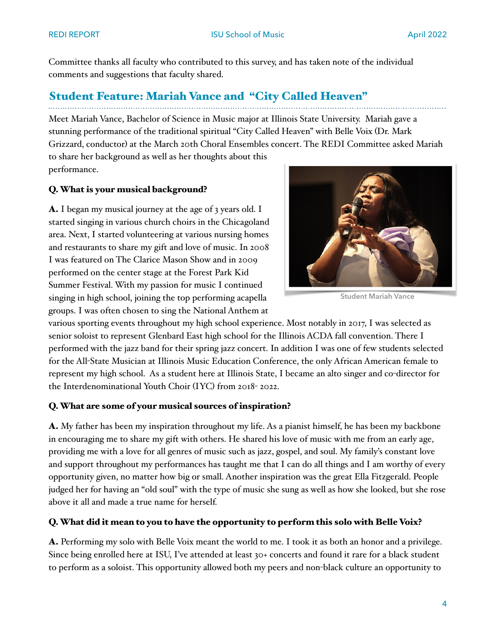Committee thanks all faculty who contributed to this survey, and has taken note of the individual comments and suggestions that faculty shared.

# Student Feature: Mariah Vance and "City Called Heaven"

Meet Mariah Vance, Bachelor of Science in Music major at Illinois State University. Mariah gave a stunning performance of the traditional spiritual "City Called Heaven" with Belle Voix (Dr. Mark Grizzard, conductor) at the March 20th Choral Ensembles concert. The REDI Committee asked Mariah to share her background as well as her thoughts about this performance.

#### Q. What is your musical background?

A. I began my musical journey at the age of 3 years old. I started singing in various church choirs in the Chicagoland area. Next, I started volunteering at various nursing homes and restaurants to share my gift and love of music. In 2008 I was featured on The Clarice Mason Show and in 2009 performed on the center stage at the Forest Park Kid Summer Festival. With my passion for music I continued singing in high school, joining the top performing acapella groups. I was often chosen to sing the National Anthem at



**Student Mariah Vance**

various sporting events throughout my high school experience. Most notably in 2017, I was selected as senior soloist to represent Glenbard East high school for the Illinois ACDA fall convention. There I performed with the jazz band for their spring jazz concert. In addition I was one of few students selected for the All-State Musician at Illinois Music Education Conference, the only African American female to represent my high school. As a student here at Illinois State, I became an alto singer and co-director for the Interdenominational Youth Choir (IYC) from 2018- 2022.

#### Q. What are some of your musical sources of inspiration?

A. My father has been my inspiration throughout my life. As a pianist himself, he has been my backbone in encouraging me to share my gift with others. He shared his love of music with me from an early age, providing me with a love for all genres of music such as jazz, gospel, and soul. My family's constant love and support throughout my performances has taught me that I can do all things and I am worthy of every opportunity given, no matter how big or small. Another inspiration was the great Ella Fitzgerald. People judged her for having an "old soul" with the type of music she sung as well as how she looked, but she rose above it all and made a true name for herself.

#### Q. What did it mean to you to have the opportunity to perform this solo with Belle Voix?

A. Performing my solo with Belle Voix meant the world to me. I took it as both an honor and a privilege. Since being enrolled here at ISU, I've attended at least 30+ concerts and found it rare for a black student to perform as a soloist. This opportunity allowed both my peers and non-black culture an opportunity to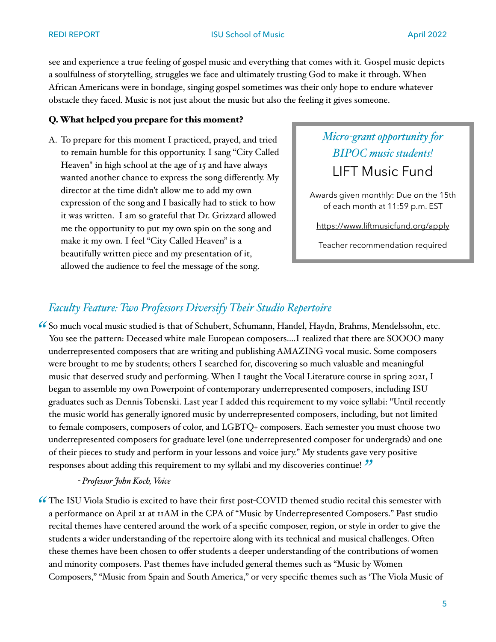#### REDI REPORT **ISU School of Music April 2022**

see and experience a true feeling of gospel music and everything that comes with it. Gospel music depicts a soulfulness of storytelling, struggles we face and ultimately trusting God to make it through. When African Americans were in bondage, singing gospel sometimes was their only hope to endure whatever obstacle they faced. Music is not just about the music but also the feeling it gives someone.

#### Q. What helped you prepare for this moment?

A. To prepare for this moment I practiced, prayed, and tried to remain humble for this opportunity. I sang "City Called Heaven" in high school at the age of 15 and have always wanted another chance to express the song differently. My director at the time didn't allow me to add my own expression of the song and I basically had to stick to how it was written. I am so grateful that Dr. Grizzard allowed me the opportunity to put my own spin on the song and make it my own. I feel "City Called Heaven" is a beautifully written piece and my presentation of it, allowed the audience to feel the message of the song.

# *Micro-grant opportunity for BIPOC music students!*  LIFT Music Fund

Awards given monthly: Due on the 15th of each month at 11:59 p.m. EST

<https://www.liftmusicfund.org/apply>

Teacher recommendation required

#### *Faculty Feature: Two Professors Diversify Their Studio Repertoire*

So much vocal music studied is that of Schubert, Schumann, Handel, Haydn, Brahms, Mendelssohn, etc. *"* You see the pattern: Deceased white male European composers….I realized that there are SOOOO many underrepresented composers that are writing and publishing AMAZING vocal music. Some composers were brought to me by students; others I searched for, discovering so much valuable and meaningful music that deserved study and performing. When I taught the Vocal Literature course in spring 2021, I began to assemble my own Powerpoint of contemporary underrepresented composers, including ISU graduates such as Dennis Tobenski. Last year I added this requirement to my voice syllabi: "Until recently the music world has generally ignored music by underrepresented composers, including, but not limited to female composers, composers of color, and LGBTQ+ composers. Each semester you must choose two underrepresented composers for graduate level (one underrepresented composer for undergrads) and one of their pieces to study and perform in your lessons and voice jury." My students gave very positive responses about adding this requirement to my syllabi and my discoveries continue! *"*

#### *- Professor John Koch, Voice*

The ISU Viola Studio is excited to have their first post-COVID themed studio recital this semester with *"*a performance on April 21 at 11AM in the CPA of "Music by Underrepresented Composers." Past studio recital themes have centered around the work of a specific composer, region, or style in order to give the students a wider understanding of the repertoire along with its technical and musical challenges. Often these themes have been chosen to offer students a deeper understanding of the contributions of women and minority composers. Past themes have included general themes such as "Music by Women Composers," "Music from Spain and South America," or very specific themes such as 'The Viola Music of